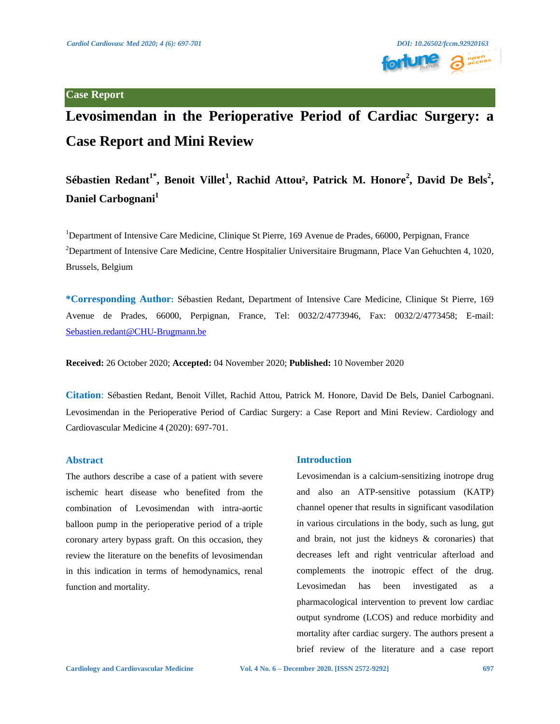

# **Levosimendan in the Perioperative Period of Cardiac Surgery: a Case Report and Mini Review**

# Sébastien Redant<sup>1\*</sup>, Benoit Villet<sup>1</sup>, Rachid Attou<sup>2</sup>, Patrick M. Honore<sup>2</sup>, David De Bels<sup>2</sup>, **Daniel Carbognani<sup>1</sup>**

<sup>1</sup>Department of Intensive Care Medicine, Clinique St Pierre, 169 Avenue de Prades, 66000, Perpignan, France <sup>2</sup>Department of Intensive Care Medicine, Centre Hospitalier Universitaire Brugmann, Place Van Gehuchten 4, 1020, Brussels, Belgium

**\*Corresponding Author:** Sébastien Redant, Department of Intensive Care Medicine, Clinique St Pierre, 169 Avenue de Prades, 66000, Perpignan, France, Tel: 0032/2/4773946, Fax: 0032/2/4773458; E-mail: [Sebastien.redant@CHU-Brugmann.be](mailto:Sebastien.redant@CHU-Brugmann.be)

**Received:** 26 October 2020; **Accepted:** 04 November 2020; **Published:** 10 November 2020

**Citation**: Sébastien Redant, Benoit Villet, Rachid Attou, Patrick M. Honore, David De Bels, Daniel Carbognani. Levosimendan in the Perioperative Period of Cardiac Surgery: a Case Report and Mini Review. Cardiology and Cardiovascular Medicine 4 (2020): 697-701.

# **Abstract**

The authors describe a case of a patient with severe ischemic heart disease who benefited from the combination of Levosimendan with intra-aortic balloon pump in the perioperative period of a triple coronary artery bypass graft. On this occasion, they review the literature on the benefits of levosimendan in this indication in terms of hemodynamics, renal function and mortality.

# **Introduction**

Levosimendan is a calcium-sensitizing inotrope drug and also an ATP-sensitive potassium (KATP) channel opener that results in significant vasodilation in various circulations in the body, such as lung, gut and brain, not just the kidneys & coronaries) that decreases left and right ventricular afterload and complements the inotropic effect of the drug. Levosimedan has been investigated as a pharmacological intervention to prevent low cardiac output syndrome (LCOS) and reduce morbidity and mortality after cardiac surgery. The authors present a brief review of the literature and a case report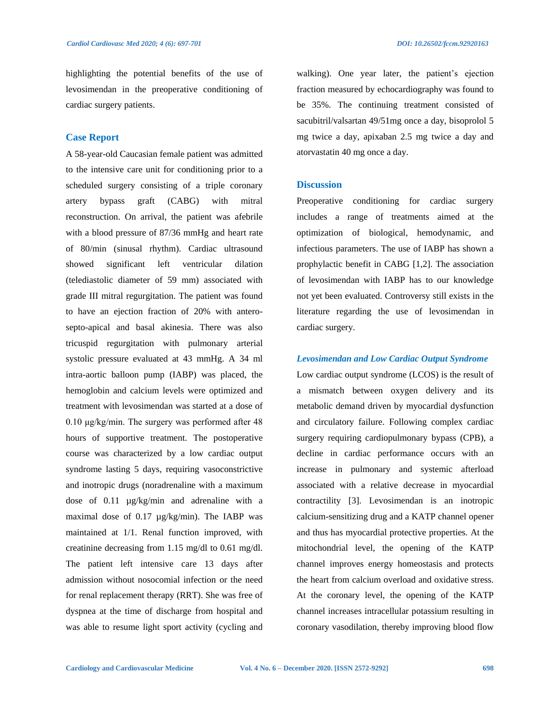highlighting the potential benefits of the use of levosimendan in the preoperative conditioning of cardiac surgery patients.

#### **Case Report**

A 58-year-old Caucasian female patient was admitted to the intensive care unit for conditioning prior to a scheduled surgery consisting of a triple coronary artery bypass graft (CABG) with mitral reconstruction. On arrival, the patient was afebrile with a blood pressure of 87/36 mmHg and heart rate of 80/min (sinusal rhythm). Cardiac ultrasound showed significant left ventricular dilation (telediastolic diameter of 59 mm) associated with grade III mitral regurgitation. The patient was found to have an ejection fraction of 20% with anterosepto-apical and basal akinesia. There was also tricuspid regurgitation with pulmonary arterial systolic pressure evaluated at 43 mmHg. A 34 ml intra-aortic balloon pump (IABP) was placed, the hemoglobin and calcium levels were optimized and treatment with levosimendan was started at a dose of 0.10 μg/kg/min. The surgery was performed after 48 hours of supportive treatment. The postoperative course was characterized by a low cardiac output syndrome lasting 5 days, requiring vasoconstrictive and inotropic drugs (noradrenaline with a maximum dose of 0.11 µg/kg/min and adrenaline with a maximal dose of 0.17 µg/kg/min). The IABP was maintained at 1/1. Renal function improved, with creatinine decreasing from 1.15 mg/dl to 0.61 mg/dl. The patient left intensive care 13 days after admission without nosocomial infection or the need for renal replacement therapy (RRT). She was free of dyspnea at the time of discharge from hospital and was able to resume light sport activity (cycling and

walking). One year later, the patient's ejection fraction measured by echocardiography was found to be 35%. The continuing treatment consisted of sacubitril/valsartan 49/51mg once a day, bisoprolol 5 mg twice a day, apixaban 2.5 mg twice a day and atorvastatin 40 mg once a day.

# **Discussion**

Preoperative conditioning for cardiac surgery includes a range of treatments aimed at the optimization of biological, hemodynamic, and infectious parameters. The use of IABP has shown a prophylactic benefit in CABG [1,2]. The association of levosimendan with IABP has to our knowledge not yet been evaluated. Controversy still exists in the literature regarding the use of levosimendan in cardiac surgery.

#### *Levosimendan and Low Cardiac Output Syndrome*

Low cardiac output syndrome (LCOS) is the result of a mismatch between oxygen delivery and its metabolic demand driven by myocardial dysfunction and circulatory failure. Following complex cardiac surgery requiring cardiopulmonary bypass (CPB), a decline in cardiac performance occurs with an increase in pulmonary and systemic afterload associated with a relative decrease in myocardial contractility [3]. Levosimendan is an inotropic calcium-sensitizing drug and a KATP channel opener and thus has myocardial protective properties. At the mitochondrial level, the opening of the KATP channel improves energy homeostasis and protects the heart from calcium overload and oxidative stress. At the coronary level, the opening of the KATP channel increases intracellular potassium resulting in coronary vasodilation, thereby improving blood flow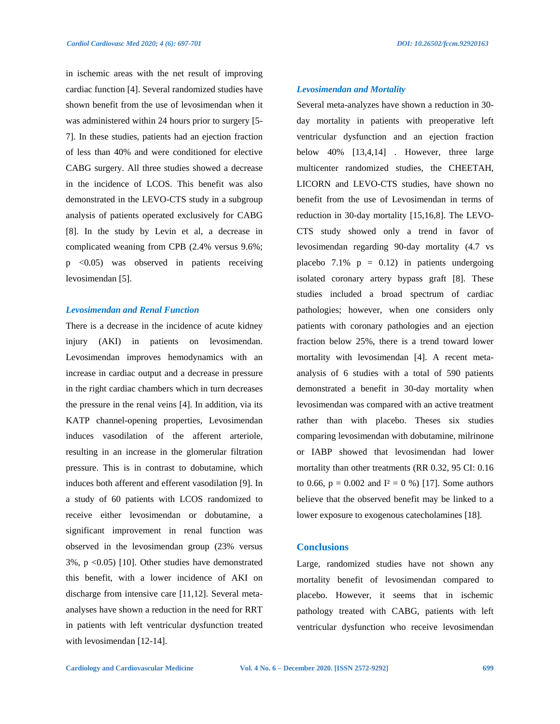in ischemic areas with the net result of improving *Levosimendan and Mortality*

cardiac function [4]. Several randomized studies have shown benefit from the use of levosimendan when it was administered within 24 hours prior to surgery [5- 7]. In these studies, patients had an ejection fraction of less than 40% and were conditioned for elective CABG surgery. All three studies showed a decrease in the incidence of LCOS. This benefit was also demonstrated in the LEVO-CTS study in a subgroup analysis of patients operated exclusively for CABG [8]. In the study by Levin et al, a decrease in complicated weaning from CPB (2.4% versus 9.6%; p <0.05) was observed in patients receiving levosimendan [5].

#### *Levosimendan and Renal Function*

There is a decrease in the incidence of acute kidney injury (AKI) in patients on levosimendan. Levosimendan improves hemodynamics with an increase in cardiac output and a decrease in pressure in the right cardiac chambers which in turn decreases the pressure in the renal veins [4]. In addition, via its KATP channel-opening properties, Levosimendan induces vasodilation of the afferent arteriole, resulting in an increase in the glomerular filtration pressure. This is in contrast to dobutamine, which induces both afferent and efferent vasodilation [9]. In a study of 60 patients with LCOS randomized to receive either levosimendan or dobutamine, a significant improvement in renal function was observed in the levosimendan group (23% versus 3%, p <0.05) [10]. Other studies have demonstrated this benefit, with a lower incidence of AKI on discharge from intensive care [11,12]. Several metaanalyses have shown a reduction in the need for RRT in patients with left ventricular dysfunction treated with levosimendan [12-14].

Several meta-analyzes have shown a reduction in 30 day mortality in patients with preoperative left ventricular dysfunction and an ejection fraction below 40% [13,4,14] . However, three large multicenter randomized studies, the CHEETAH, LICORN and LEVO-CTS studies, have shown no benefit from the use of Levosimendan in terms of reduction in 30-day mortality [15,16,8]. The LEVO-CTS study showed only a trend in favor of levosimendan regarding 90-day mortality (4.7 vs placebo  $7.1\%$  p = 0.12) in patients undergoing isolated coronary artery bypass graft [8]. These studies included a broad spectrum of cardiac pathologies; however, when one considers only patients with coronary pathologies and an ejection fraction below 25%, there is a trend toward lower mortality with levosimendan [4]. A recent metaanalysis of 6 studies with a total of 590 patients demonstrated a benefit in 30-day mortality when levosimendan was compared with an active treatment rather than with placebo. Theses six studies comparing levosimendan with dobutamine, milrinone or IABP showed that levosimendan had lower mortality than other treatments (RR 0.32, 95 CI: 0.16 to 0.66,  $p = 0.002$  and  $I^2 = 0$  %) [17]. Some authors believe that the observed benefit may be linked to a lower exposure to exogenous catecholamines [18].

# **Conclusions**

Large, randomized studies have not shown any mortality benefit of levosimendan compared to placebo. However, it seems that in ischemic pathology treated with CABG, patients with left ventricular dysfunction who receive levosimendan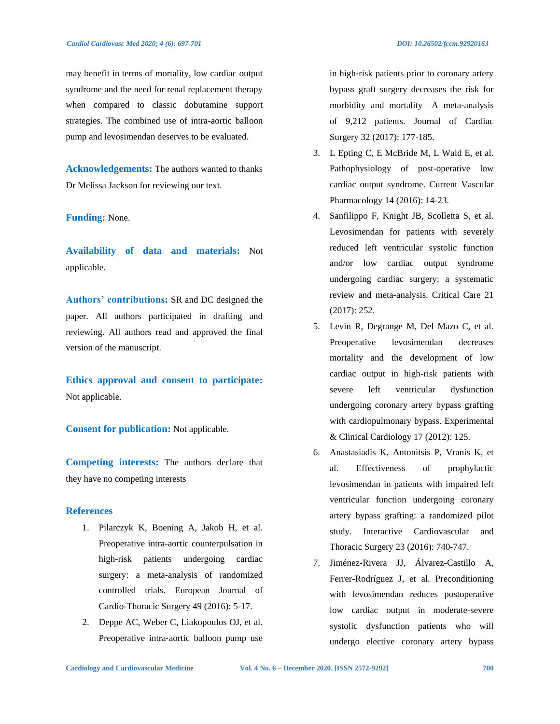may benefit in terms of mortality, low cardiac output syndrome and the need for renal replacement therapy when compared to classic dobutamine support strategies. The combined use of intra-aortic balloon pump and levosimendan deserves to be evaluated.

**Acknowledgements:** The authors wanted to thanks Dr Melissa Jackson for reviewing our text.

# **Funding:** None.

**Availability of data and materials:** Not applicable.

**Authors' contributions:** SR and DC designed the paper. All authors participated in drafting and reviewing. All authors read and approved the final version of the manuscript.

**Ethics approval and consent to participate:**  Not applicable.

**Consent for publication:** Not applicable.

**Competing interests:** The authors declare that they have no competing interests

#### **References**

- 1. Pilarczyk K, Boening A, Jakob H, et al. Preoperative intra-aortic counterpulsation in high-risk patients undergoing cardiac surgery: a meta-analysis of randomized controlled trials. European Journal of Cardio-Thoracic Surgery 49 (2016): 5-17.
- 2. Deppe AC, Weber C, Liakopoulos OJ, et al. Preoperative intra‐aortic balloon pump use

in high‐risk patients prior to coronary artery bypass graft surgery decreases the risk for morbidity and mortality—A meta‐analysis of 9,212 patients. Journal of Cardiac Surgery 32 (2017): 177-185.

- 3. L Epting C, E McBride M, L Wald E, et al. Pathophysiology of post-operative low cardiac output syndrome. Current Vascular Pharmacology 14 (2016): 14-23.
- 4. Sanfilippo F, Knight JB, Scolletta S, et al. Levosimendan for patients with severely reduced left ventricular systolic function and/or low cardiac output syndrome undergoing cardiac surgery: a systematic review and meta-analysis. Critical Care 21 (2017): 252.
- 5. Levin R, Degrange M, Del Mazo C, et al. Preoperative levosimendan decreases mortality and the development of low cardiac output in high-risk patients with severe left ventricular dysfunction undergoing coronary artery bypass grafting with cardiopulmonary bypass. Experimental & Clinical Cardiology 17 (2012): 125.
- 6. Anastasiadis K, Antonitsis P, Vranis K, et al. Effectiveness of prophylactic levosimendan in patients with impaired left ventricular function undergoing coronary artery bypass grafting: a randomized pilot study. Interactive Cardiovascular and Thoracic Surgery 23 (2016): 740-747.
- 7. Jiménez-Rivera JJ, Álvarez-Castillo A, Ferrer-Rodríguez J, et al. Preconditioning with levosimendan reduces postoperative low cardiac output in moderate-severe systolic dysfunction patients who will undergo elective coronary artery bypass